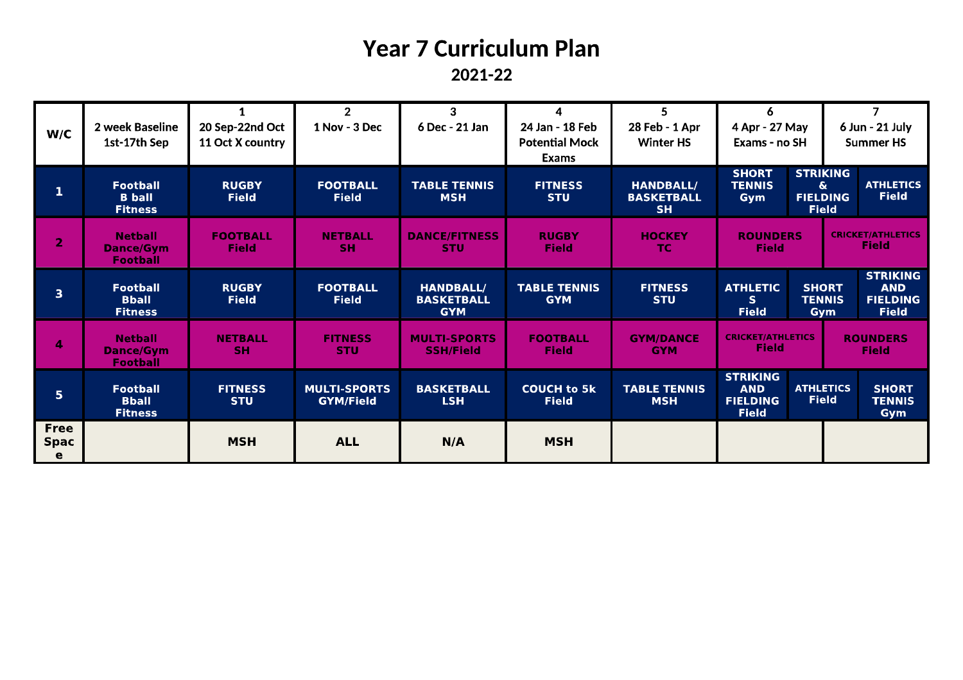# **Year 7 Curriculum Plan**

2021-22

|                |                                    |                              | $\overline{2}$                          | 3                                       | $\overline{4}$                     | 5                                     | 6                             |                               |                 | $\overline{7}$                  |  |
|----------------|------------------------------------|------------------------------|-----------------------------------------|-----------------------------------------|------------------------------------|---------------------------------------|-------------------------------|-------------------------------|-----------------|---------------------------------|--|
| W/C            | 2 week Baseline                    | 20 Sep-22nd Oct              | 1 Nov - 3 Dec                           | 6 Dec - 21 Jan                          | 24 Jan - 18 Feb                    | 28 Feb - 1 Apr                        | 4 Apr - 27 May                |                               |                 | 6 Jun - 21 July                 |  |
|                | 1st-17th Sep                       | 11 Oct X country             |                                         |                                         | <b>Potential Mock</b>              | <b>Winter HS</b>                      | Exams - no SH                 |                               |                 | <b>Summer HS</b>                |  |
|                |                                    |                              |                                         |                                         | <b>Exams</b>                       |                                       |                               |                               |                 |                                 |  |
|                | <b>Football</b>                    | <b>RUGBY</b>                 | <b>FOOTBALL</b>                         | <b>TABLE TENNIS</b>                     |                                    |                                       | <b>SHORT</b><br><b>TENNIS</b> | $\mathbf{\hat{\alpha}}$       | <b>STRIKING</b> | <b>ATHLETICS</b>                |  |
| 1              | <b>B</b> ball                      | <b>Field</b>                 | <b>Field</b>                            | <b>MSH</b>                              | <b>FITNESS</b><br><b>STU</b>       | <b>HANDBALL/</b><br><b>BASKETBALL</b> | Gym                           | <b>FIELDING</b>               |                 | <b>Field</b>                    |  |
|                | <b>Fitness</b>                     |                              |                                         |                                         |                                    | <b>SH</b>                             |                               | <b>Field</b>                  |                 |                                 |  |
|                | <b>Netball</b>                     | <b>FOOTBALL</b>              | <b>NETBALL</b>                          | <b>DANCE/FITNESS</b>                    | <b>RUGBY</b>                       | <b>HOCKEY</b>                         | <b>ROUNDERS</b>               |                               |                 | <b>CRICKET/ATHLETICS</b>        |  |
| $\overline{2}$ | <b>Dance/Gvm</b>                   | Field                        | SH.                                     | <b>STU</b>                              | <b>Field</b>                       | TC.                                   | <b>Field</b>                  |                               |                 | <b>Field</b>                    |  |
|                | <b>Football</b>                    |                              |                                         |                                         |                                    |                                       |                               |                               |                 |                                 |  |
|                |                                    |                              |                                         |                                         |                                    |                                       |                               |                               |                 | <b>STRIKING</b>                 |  |
| 3              | <b>Football</b><br><b>Bball</b>    | <b>RUGBY</b><br><b>Field</b> | <b>FOOTBALL</b><br><b>Field</b>         | <b>HANDBALL/</b><br><b>BASKETBALL</b>   | <b>TABLE TENNIS</b><br><b>GYM</b>  | <b>FITNESS</b><br><b>STU</b>          | <b>ATHLETIC</b><br>S.         | <b>SHORT</b><br><b>TENNIS</b> |                 | <b>AND</b><br><b>FIELDING</b>   |  |
|                | <b>Fitness</b>                     |                              |                                         | <b>GYM</b>                              |                                    |                                       | <b>Field</b>                  |                               | Gym             | <b>Field</b>                    |  |
|                |                                    |                              |                                         |                                         |                                    |                                       | <b>CRICKET/ATHLETICS</b>      |                               |                 |                                 |  |
| 4              | <b>Netball</b><br><b>Dance/Gym</b> | <b>NETBALL</b><br><b>SH</b>  | <b>FITNESS</b><br><b>STU</b>            | <b>MULTI-SPORTS</b><br><b>SSH/Field</b> | <b>FOOTBALL</b><br><b>Field</b>    | <b>GYM/DANCE</b><br><b>GYM</b>        | <b>Field</b>                  |                               |                 | <b>ROUNDERS</b><br><b>Field</b> |  |
|                | <b>Football</b>                    |                              |                                         |                                         |                                    |                                       |                               |                               |                 |                                 |  |
|                |                                    |                              |                                         |                                         |                                    |                                       | <b>STRIKING</b>               |                               |                 |                                 |  |
| 5 <sub>1</sub> | <b>Football</b><br><b>Bball</b>    | <b>FITNESS</b><br><b>STU</b> | <b>MULTI-SPORTS</b><br><b>GYM/Field</b> | <b>BASKETBALL</b><br><b>LSH</b>         | <b>COUCH to 5k</b><br><b>Field</b> | <b>TABLE TENNIS</b><br><b>MSH</b>     | <b>AND</b><br><b>FIELDING</b> | <b>ATHLETICS</b>              | <b>Field</b>    | <b>SHORT</b><br><b>TENNIS</b>   |  |
|                | <b>Fitness</b>                     |                              |                                         |                                         |                                    |                                       | <b>Field</b>                  |                               |                 | Gym                             |  |
| <b>Free</b>    |                                    |                              |                                         |                                         |                                    |                                       |                               |                               |                 |                                 |  |
| <b>Spac</b>    |                                    | <b>MSH</b>                   | <b>ALL</b>                              | N/A                                     | <b>MSH</b>                         |                                       |                               |                               |                 |                                 |  |
| e              |                                    |                              |                                         |                                         |                                    |                                       |                               |                               |                 |                                 |  |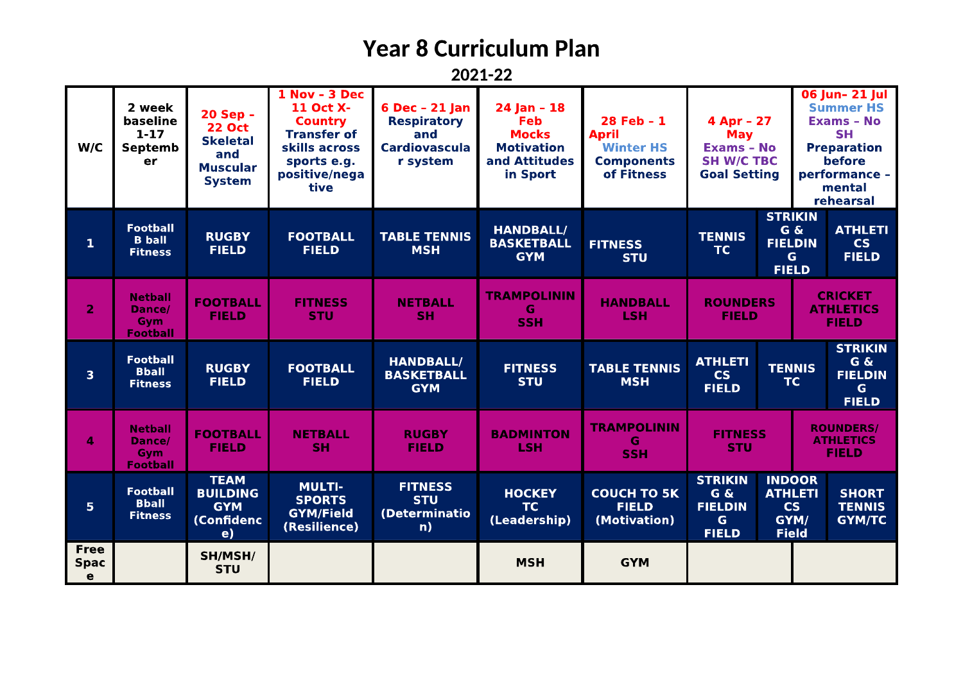### **Year 8 Curriculum Plan**

2021-22

| W/C                             | 2 week<br>baseline<br>$1 - 17$<br>Septemb<br>er           | 20 Sep -<br><b>22 Oct</b><br><b>Skeletal</b><br>and<br><b>Muscular</b><br><b>System</b> | 1 Nov - 3 Dec<br>11 Oct X-<br><b>Country</b><br><b>Transfer of</b><br>skills across<br>sports e.g.<br>positive/nega<br>tive | $6$ Dec - 21 Jan<br><b>Respiratory</b><br>and<br><b>Cardiovascula</b><br>r system | $24$ Jan - 18<br><b>Feb</b><br><b>Mocks</b><br><b>Motivation</b><br>and Attitudes<br>in Sport | 28 Feb - 1<br><b>April</b><br><b>Winter HS</b><br><b>Components</b><br>of Fitness | 4 Apr - 27<br><b>May</b><br><b>Exams - No</b><br><b>SH W/C TBC</b><br><b>Goal Setting</b>  |                                                                      | 06 Jun- 21 Jul<br><b>Summer HS</b><br><b>Exams - No</b><br><b>SH</b><br><b>Preparation</b><br>before<br>performance -<br>mental<br>rehearsal |                                                               |
|---------------------------------|-----------------------------------------------------------|-----------------------------------------------------------------------------------------|-----------------------------------------------------------------------------------------------------------------------------|-----------------------------------------------------------------------------------|-----------------------------------------------------------------------------------------------|-----------------------------------------------------------------------------------|--------------------------------------------------------------------------------------------|----------------------------------------------------------------------|----------------------------------------------------------------------------------------------------------------------------------------------|---------------------------------------------------------------|
| $\mathbf{1}$                    | <b>Football</b><br><b>B</b> ball<br><b>Fitness</b>        | <b>RUGBY</b><br><b>FIELD</b>                                                            | <b>FOOTBALL</b><br><b>FIELD</b>                                                                                             | <b>TABLE TENNIS</b><br><b>MSH</b>                                                 | <b>HANDBALL/</b><br><b>BASKETBALL</b><br><b>GYM</b>                                           | <b>FITNESS</b><br><b>STU</b>                                                      | <b>STRIKIN</b><br>G &<br><b>TENNIS</b><br><b>FIELDIN</b><br><b>TC</b><br>G<br><b>FIELD</b> |                                                                      |                                                                                                                                              | <b>ATHLETI</b><br><b>CS</b><br><b>FIELD</b>                   |
| $\overline{2}$                  | <b>Netball</b><br>Dance/<br><b>Gvm</b><br><b>Football</b> | <b>FOOTBALL</b><br><b>FIELD</b>                                                         | <b>FITNESS</b><br><b>STU</b>                                                                                                | <b>NETBALL</b><br><b>SH</b>                                                       | <b>TRAMPOLININ</b><br>G<br><b>SSH</b>                                                         | <b>HANDBALL</b><br><b>LSH</b>                                                     | <b>ROUNDERS</b><br><b>FIELD</b>                                                            |                                                                      | <b>CRICKET</b><br><b>ATHLETICS</b><br><b>FIELD</b>                                                                                           |                                                               |
| $\overline{\mathbf{3}}$         | <b>Football</b><br><b>Bball</b><br><b>Fitness</b>         | <b>RUGBY</b><br><b>FIELD</b>                                                            | <b>FOOTBALL</b><br><b>FIELD</b>                                                                                             | <b>HANDBALL/</b><br><b>BASKETBALL</b><br><b>GYM</b>                               | <b>FITNESS</b><br><b>STU</b>                                                                  | <b>TABLE TENNIS</b><br><b>MSH</b>                                                 | <b>ATHLETI</b><br><b>TENNIS</b><br><b>CS</b><br>TC<br><b>FIELD</b>                         |                                                                      |                                                                                                                                              | <b>STRIKIN</b><br>G &<br><b>FIELDIN</b><br>G.<br><b>FIELD</b> |
| 4                               | <b>Netball</b><br>Dance/<br>Gym<br><b>Football</b>        | <b>FOOTBALL</b><br><b>FIELD</b>                                                         | <b>NETBALL</b><br><b>SH</b>                                                                                                 | <b>RUGBY</b><br><b>FIELD</b>                                                      | <b>BADMINTON</b><br><b>LSH</b>                                                                | <b>TRAMPOLININ</b><br>G<br><b>SSH</b>                                             | <b>FITNESS</b><br><b>STU</b>                                                               |                                                                      |                                                                                                                                              | <b>ROUNDERS/</b><br><b>ATHLETICS</b><br><b>FIELD</b>          |
| 5 <sup>1</sup>                  | <b>Football</b><br><b>Bball</b><br><b>Fitness</b>         | <b>TEAM</b><br><b>BUILDING</b><br><b>GYM</b><br>(Confidenc<br>e)                        | <b>MULTI-</b><br><b>SPORTS</b><br><b>GYM/Field</b><br>(Resilience)                                                          | <b>FITNESS</b><br><b>STU</b><br>(Determinatio<br>n)                               | <b>HOCKEY</b><br>TC<br>(Leadership)                                                           | <b>COUCH TO 5K</b><br><b>FIELD</b><br>(Motivation)                                | <b>STRIKIN</b><br>G &<br><b>FIELDIN</b><br>G.<br><b>FIELD</b>                              | <b>INDOOR</b><br><b>ATHLETI</b><br><b>CS</b><br>GYM/<br><b>Field</b> |                                                                                                                                              | <b>SHORT</b><br><b>TENNIS</b><br><b>GYM/TC</b>                |
| <b>Free</b><br><b>Spac</b><br>e |                                                           | SH/MSH/<br><b>STU</b>                                                                   |                                                                                                                             |                                                                                   | <b>MSH</b>                                                                                    | <b>GYM</b>                                                                        |                                                                                            |                                                                      |                                                                                                                                              |                                                               |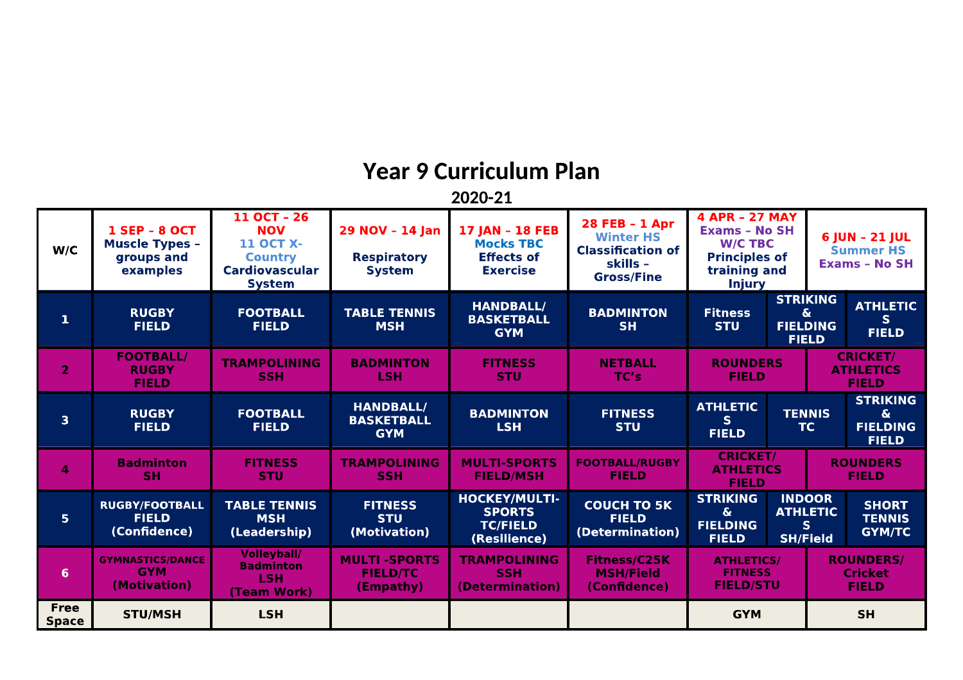### Year 9 Curriculum Plan

2020-21

| W/C                         | <b>1 SEP - 8 OCT</b><br><b>Muscle Types -</b><br>groups and<br>examples | 11 OCT - 26<br><b>NOV</b><br><b>11 OCT X-</b><br><b>Country</b><br><b>Cardiovascular</b><br><b>System</b> | 29 NOV - 14 Jan<br><b>Respiratory</b><br><b>System</b> | <b>17 JAN - 18 FEB</b><br><b>Mocks TBC</b><br><b>Effects of</b><br><b>Exercise</b> | 28 FEB - 1 Apr<br><b>Winter HS</b><br><b>Classification of</b><br>skills -<br><b>Gross/Fine</b> | <b>4 APR - 27 MAY</b><br><b>Exams - No SH</b><br><b>W/C TBC</b><br><b>Principles of</b><br>training and<br><b>Injury</b> |                                                           |                                                     | 6 JUN - 21 JUL<br><b>Summer HS</b><br><b>Exams - No SH</b> |
|-----------------------------|-------------------------------------------------------------------------|-----------------------------------------------------------------------------------------------------------|--------------------------------------------------------|------------------------------------------------------------------------------------|-------------------------------------------------------------------------------------------------|--------------------------------------------------------------------------------------------------------------------------|-----------------------------------------------------------|-----------------------------------------------------|------------------------------------------------------------|
| $\mathbf{1}$                | <b>RUGBY</b><br><b>FIELD</b>                                            | <b>FOOTBALL</b><br><b>FIELD</b>                                                                           | <b>TABLE TENNIS</b><br><b>MSH</b>                      | <b>HANDBALL/</b><br><b>BASKETBALL</b><br><b>GYM</b>                                | <b>BADMINTON</b><br><b>SH</b>                                                                   | <b>STRIKING</b><br><b>Fitness</b><br>$\boldsymbol{\delta}$<br><b>STU</b><br><b>FIELDING</b><br><b>FIELD</b>              |                                                           | <b>ATHLETIC</b><br>S.<br><b>FIELD</b>               |                                                            |
| $\overline{2}$              | <b>FOOTBALL/</b><br><b>RUGBY</b><br><b>FIELD</b>                        | <b>TRAMPOLINING</b><br><b>SSH</b>                                                                         | <b>BADMINTON</b><br><b>LSH</b>                         | <b>FITNESS</b><br><b>STU</b>                                                       | <b>NETBALL</b><br>TC's                                                                          | <b>ROUNDERS</b><br><b>FIELD</b>                                                                                          |                                                           | <b>CRICKET/</b><br><b>ATHLETICS</b><br><b>FIELD</b> |                                                            |
| $\overline{\mathbf{3}}$     | <b>RUGBY</b><br><b>FIELD</b>                                            | <b>FOOTBALL</b><br><b>FIELD</b>                                                                           | <b>HANDBALL/</b><br><b>BASKETBALL</b><br><b>GYM</b>    | <b>BADMINTON</b><br><b>LSH</b>                                                     | <b>FITNESS</b><br><b>STU</b>                                                                    | <b>ATHLETIC</b><br><b>TENNIS</b><br>$\vert S \vert$<br>TC<br><b>FIELD</b>                                                |                                                           |                                                     | <b>STRIKING</b><br>&.<br><b>FIELDING</b><br><b>FIELD</b>   |
| $\Delta$                    | <b>Badminton</b><br><b>SH</b>                                           | <b>FITNESS</b><br><b>STU</b>                                                                              | <b>TRAMPOLINING</b><br><b>SSH</b>                      | <b>MULTI-SPORTS</b><br><b>FIELD/MSH</b>                                            | <b>FOOTBALL/RUGBY</b><br><b>FIELD</b>                                                           | <b>CRICKET/</b><br><b>ATHLETICS</b><br><b>FIELD</b>                                                                      |                                                           | <b>ROUNDERS</b><br><b>FIELD</b>                     |                                                            |
| 5 <sup>1</sup>              | <b>RUGBY/FOOTBALL</b><br><b>FIELD</b><br>(Confidence)                   | <b>TABLE TENNIS</b><br><b>MSH</b><br>(Leadership)                                                         | <b>FITNESS</b><br><b>STU</b><br>(Motivation)           | HOCKEY/MULTI-<br><b>SPORTS</b><br><b>TC/FIELD</b><br>(Resilience)                  | <b>COUCH TO 5K</b><br><b>FIELD</b><br>(Determination)                                           | <b>STRIKING</b><br>$\boldsymbol{\delta}$<br><b>FIELDING</b><br><b>FIELD</b>                                              | <b>INDOOR</b><br><b>ATHLETIC</b><br>S.<br><b>SH/Field</b> |                                                     | <b>SHORT</b><br><b>TENNIS</b><br><b>GYM/TC</b>             |
| 6 <sup>1</sup>              | <b>GYMNASTICS/DANCE</b><br><b>GYM</b><br>(Motivation)                   | <b>Volleyball/</b><br><b>Badminton</b><br><b>LSH</b><br>(Team Work)                                       | <b>MULTI-SPORTS</b><br><b>FIELD/TC</b><br>(Empathy)    | <b>TRAMPOLINING</b><br><b>SSH</b><br>(Determination)                               | <b>Fitness/C25K</b><br><b>MSH/Field</b><br>(Confidence)                                         | <b>ATHLETICS/</b><br><b>FITNESS</b><br><b>FIELD/STU</b>                                                                  | <b>ROUNDERS/</b><br><b>Cricket</b><br><b>FIELD</b>        |                                                     |                                                            |
| <b>Free</b><br><b>Space</b> | <b>STU/MSH</b>                                                          | <b>LSH</b>                                                                                                |                                                        |                                                                                    |                                                                                                 | <b>GYM</b>                                                                                                               |                                                           | <b>SH</b>                                           |                                                            |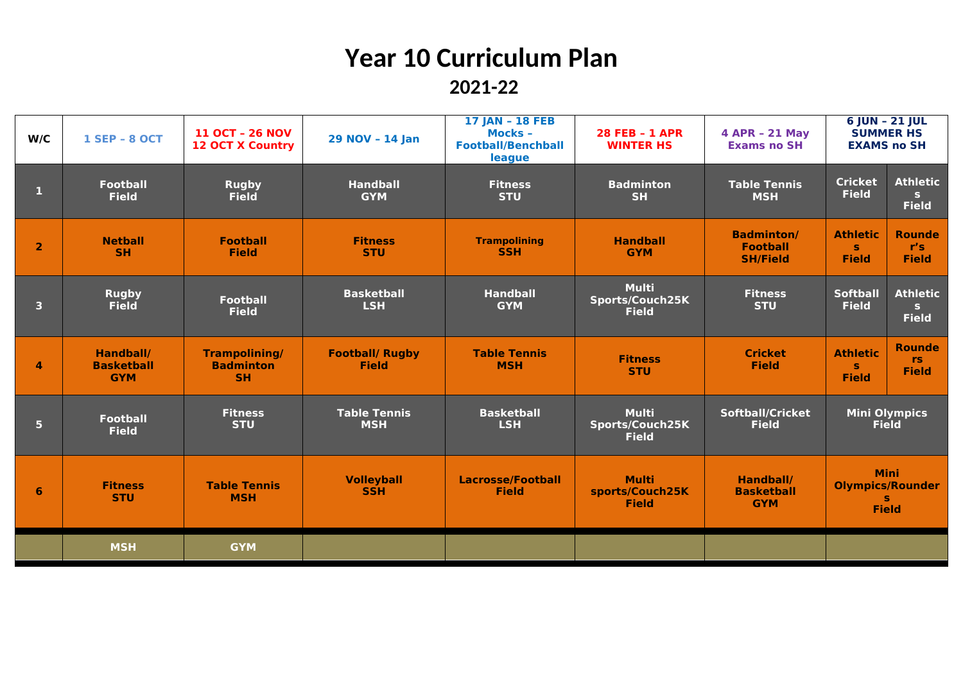## **Year 10 Curriculum Plan 2021-22**

| W/C                     | <b>1 SEP - 8 OCT</b>                         | <b>11 OCT - 26 NOV</b><br><b>12 OCT X Country</b>     | 29 NOV - 14 Jan                        | 17 JAN - 18 FEB<br>Mocks -<br><b>Football/Benchball</b><br>league | <b>28 FEB - 1 APR</b><br><b>WINTER HS</b>       | 4 APR - 21 May<br><b>Exams no SH</b>                    | 6 JUN - 21 JUL<br><b>SUMMER HS</b><br><b>EXAMS no SH</b>     |                                                 |  |
|-------------------------|----------------------------------------------|-------------------------------------------------------|----------------------------------------|-------------------------------------------------------------------|-------------------------------------------------|---------------------------------------------------------|--------------------------------------------------------------|-------------------------------------------------|--|
| л                       | <b>Football</b><br><b>Field</b>              | <b>Rugby</b><br><b>Field</b>                          | <b>Handball</b><br><b>GYM</b>          | <b>Fitness</b><br><b>STU</b>                                      | <b>Badminton</b><br><b>SH</b>                   | <b>Table Tennis</b><br><b>MSH</b>                       | <b>Cricket</b><br><b>Field</b>                               | <b>Athletic</b><br>$\mathbf{s}$<br><b>Field</b> |  |
| $\overline{2}$          | <b>Netball</b><br><b>SH</b>                  | <b>Football</b><br><b>Field</b>                       | <b>Fitness</b><br><b>STU</b>           | <b>Trampolining</b><br><b>SSH</b>                                 | <b>Handball</b><br><b>GYM</b>                   | <b>Badminton/</b><br><b>Football</b><br><b>SH/Field</b> | <b>Athletic</b><br>s.<br><b>Field</b>                        | <b>Rounde</b><br>r's<br><b>Field</b>            |  |
| $\overline{\mathbf{3}}$ | <b>Rugby</b><br><b>Field</b>                 | <b>Football</b><br><b>Field</b>                       | <b>Basketball</b><br><b>LSH</b>        | <b>Handball</b><br><b>GYM</b>                                     | <b>Multi</b><br>Sports/Couch25K<br><b>Field</b> | <b>Fitness</b><br><b>STU</b>                            | <b>Softball</b><br><b>Field</b>                              | <b>Athletic</b><br>$\mathbf{s}$<br><b>Field</b> |  |
| $\overline{4}$          | Handball/<br><b>Basketball</b><br><b>GYM</b> | <b>Trampolining/</b><br><b>Badminton</b><br><b>SH</b> | <b>Football/ Rugby</b><br><b>Field</b> | <b>Table Tennis</b><br><b>MSH</b>                                 | <b>Fitness</b><br><b>STU</b>                    | <b>Cricket</b><br><b>Field</b>                          | <b>Athletic</b><br>s.<br><b>Field</b>                        | <b>Rounde</b><br><b>rs</b><br><b>Field</b>      |  |
| 5 <sup>5</sup>          | <b>Football</b><br><b>Field</b>              | <b>Fitness</b><br><b>STU</b>                          | <b>Table Tennis</b><br><b>MSH</b>      | <b>Basketball</b><br><b>LSH</b>                                   | <b>Multi</b><br>Sports/Couch25K<br><b>Field</b> | <b>Softball/Cricket</b><br><b>Field</b>                 |                                                              | <b>Mini Olympics</b><br><b>Field</b>            |  |
| 6                       | <b>Fitness</b><br><b>STU</b>                 | <b>Table Tennis</b><br><b>MSH</b>                     | <b>Volleyball</b><br><b>SSH</b>        | <b>Lacrosse/Football</b><br><b>Field</b>                          | <b>Multi</b><br>sports/Couch25K<br><b>Field</b> | Handball/<br><b>Basketball</b><br><b>GYM</b>            | <b>Mini</b><br><b>Olympics/Rounder</b><br>s.<br><b>Field</b> |                                                 |  |
|                         | <b>MSH</b>                                   | <b>GYM</b>                                            |                                        |                                                                   |                                                 |                                                         |                                                              |                                                 |  |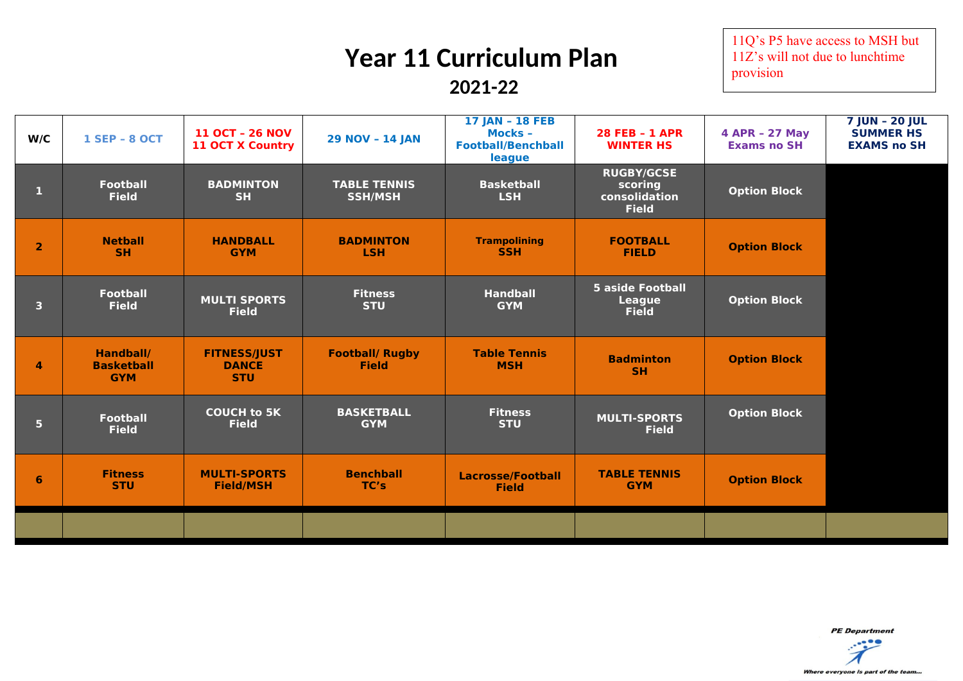# **Year 11 Curriculum Plan**

 **2021-22**

11Q's P5 have access to MSH but 11Z's will not due to lunchtime provision

| W/C                     | <b>1 SEP - 8 OCT</b>                         | <b>11 OCT - 26 NOV</b><br><b>11 OCT X Country</b> | <b>29 NOV - 14 JAN</b>                 | <b>17 JAN - 18 FEB</b><br><b>Mocks -</b><br><b>Football/Benchball</b><br>league | <b>28 FEB - 1 APR</b><br><b>WINTER HS</b>                     | 4 APR - 27 May<br><b>Exams no SH</b> | <b>7 JUN - 20 JUL</b><br><b>SUMMER HS</b><br><b>EXAMS no SH</b> |
|-------------------------|----------------------------------------------|---------------------------------------------------|----------------------------------------|---------------------------------------------------------------------------------|---------------------------------------------------------------|--------------------------------------|-----------------------------------------------------------------|
| 1                       | <b>Football</b><br><b>Field</b>              | <b>BADMINTON</b><br><b>SH</b>                     | <b>TABLE TENNIS</b><br><b>SSH/MSH</b>  | <b>Basketball</b><br><b>LSH</b>                                                 | <b>RUGBY/GCSE</b><br>scoring<br>consolidation<br><b>Field</b> | <b>Option Block</b>                  |                                                                 |
| $\overline{2}$          | <b>Netball</b><br><b>SH</b>                  | <b>HANDBALL</b><br><b>GYM</b>                     | <b>BADMINTON</b><br><b>LSH</b>         | <b>Trampolining</b><br><b>SSH</b>                                               | <b>FOOTBALL</b><br><b>FIELD</b>                               | <b>Option Block</b>                  |                                                                 |
| $\overline{\mathbf{3}}$ | <b>Football</b><br><b>Field</b>              | <b>MULTI SPORTS</b><br><b>Field</b>               | <b>Fitness</b><br><b>STU</b>           | <b>Handball</b><br><b>GYM</b>                                                   | <b>5 aside Football</b><br><b>League</b><br><b>Field</b>      | <b>Option Block</b>                  |                                                                 |
| $\overline{4}$          | Handball/<br><b>Basketball</b><br><b>GYM</b> | <b>FITNESS/JUST</b><br><b>DANCE</b><br><b>STU</b> | <b>Football/ Rugby</b><br><b>Field</b> | <b>Table Tennis</b><br><b>MSH</b>                                               | <b>Badminton</b><br>SH.                                       | <b>Option Block</b>                  |                                                                 |
| 5 <sup>1</sup>          | <b>Football</b><br><b>Field</b>              | <b>COUCH to 5K</b><br><b>Field</b>                | <b>BASKETBALL</b><br><b>GYM</b>        | <b>Fitness</b><br><b>STU</b>                                                    | <b>MULTI-SPORTS</b><br><b>Field</b>                           | <b>Option Block</b>                  |                                                                 |
| 6                       | <b>Fitness</b><br><b>STU</b>                 | <b>MULTI-SPORTS</b><br><b>Field/MSH</b>           | <b>Benchball</b><br>TC's               | <b>Lacrosse/Football</b><br><b>Field</b>                                        | <b>TABLE TENNIS</b><br><b>GYM</b>                             | <b>Option Block</b>                  |                                                                 |
|                         |                                              |                                                   |                                        |                                                                                 |                                                               |                                      |                                                                 |

**PE** Department

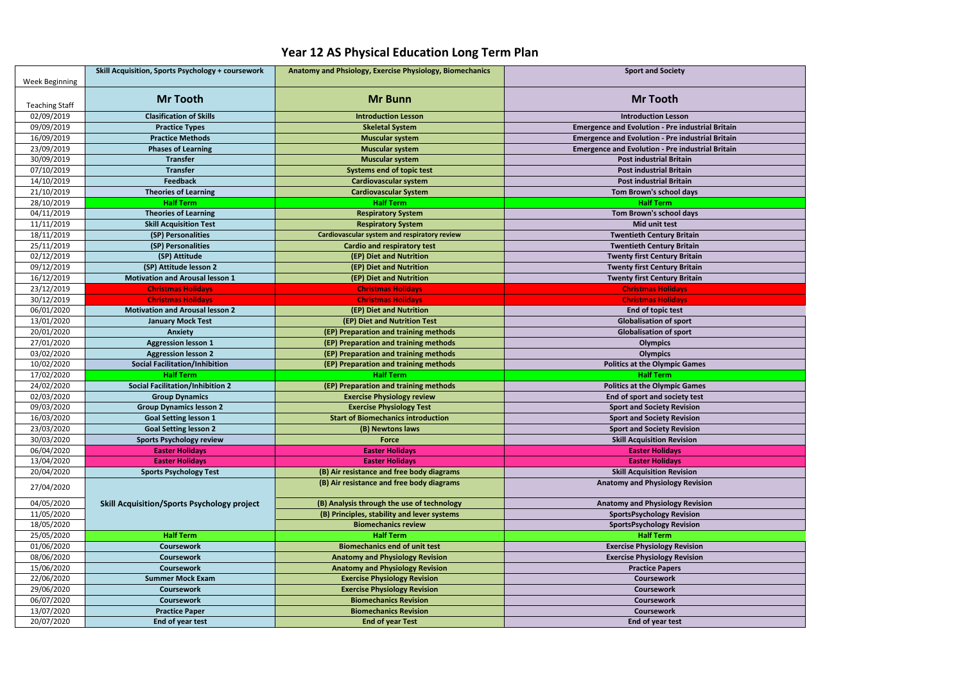|                       | <b>Skill Acquisition, Sports Psychology + coursework</b> | Anatomy and Phsiology, Exercise Physiology, Biomechanics | <b>Sport and Society</b>                                |  |
|-----------------------|----------------------------------------------------------|----------------------------------------------------------|---------------------------------------------------------|--|
| Week Beginning        |                                                          |                                                          |                                                         |  |
| <b>Teaching Staff</b> | <b>Mr Tooth</b>                                          | <b>Mr Bunn</b>                                           | <b>Mr Tooth</b>                                         |  |
| 02/09/2019            | <b>Clasification of Skills</b>                           | <b>Introduction Lesson</b>                               | <b>Introduction Lesson</b>                              |  |
| 09/09/2019            | <b>Practice Types</b>                                    | <b>Skeletal System</b>                                   | <b>Emergence and Evolution - Pre industrial Britain</b> |  |
| 16/09/2019            | <b>Practice Methods</b>                                  | <b>Muscular system</b>                                   | <b>Emergence and Evolution - Pre industrial Britain</b> |  |
| 23/09/2019            | <b>Phases of Learning</b>                                | <b>Muscular system</b>                                   | <b>Emergence and Evolution - Pre industrial Britain</b> |  |
| 30/09/2019            | <b>Transfer</b>                                          | <b>Muscular system</b>                                   | <b>Post industrial Britain</b>                          |  |
| 07/10/2019            | <b>Transfer</b>                                          | <b>Systems end of topic test</b>                         | <b>Post industrial Britain</b>                          |  |
| 14/10/2019            | <b>Feedback</b>                                          | <b>Cardiovascular system</b>                             | <b>Post industrial Britain</b>                          |  |
| 21/10/2019            | <b>Theories of Learning</b>                              | <b>Cardiovascular System</b>                             | Tom Brown's school days                                 |  |
| 28/10/2019            | <b>Half Term</b>                                         | <b>Half Term</b>                                         | <b>Half Term</b>                                        |  |
| 04/11/2019            | <b>Theories of Learning</b>                              | <b>Respiratory System</b>                                | Tom Brown's school days                                 |  |
| 11/11/2019            | <b>Skill Acquisition Test</b>                            | <b>Respiratory System</b>                                | <b>Mid unit test</b>                                    |  |
| 18/11/2019            | (SP) Personalities                                       | Cardiovascular system and respiratory review             | <b>Twentieth Century Britain</b>                        |  |
| 25/11/2019            | (SP) Personalities                                       | <b>Cardio and respiratory test</b>                       | <b>Twentieth Century Britain</b>                        |  |
| 02/12/2019            | (SP) Attitude                                            | (EP) Diet and Nutrition                                  | <b>Twenty first Century Britain</b>                     |  |
| 09/12/2019            | (SP) Attitude lesson 2                                   | (EP) Diet and Nutrition                                  | <b>Twenty first Century Britain</b>                     |  |
| 16/12/2019            | <b>Motivation and Arousal lesson 1</b>                   | (EP) Diet and Nutrition                                  | <b>Twenty first Century Britain</b>                     |  |
| 23/12/2019            | <b>Christmas Holidays</b>                                | <b>Christmas Holidays</b>                                | <b>Christmas Holidays</b>                               |  |
| 30/12/2019            | <b>Christmas Holidays</b>                                | <b>Christmas Holidays</b>                                | <b>Christmas Holidays</b>                               |  |
| 06/01/2020            | <b>Motivation and Arousal lesson 2</b>                   | (EP) Diet and Nutrition                                  | End of topic test                                       |  |
| 13/01/2020            | <b>January Mock Test</b>                                 | (EP) Diet and Nutrition Test                             | <b>Globalisation of sport</b>                           |  |
| 20/01/2020            | <b>Anxiety</b>                                           | (EP) Preparation and training methods                    | <b>Globalisation of sport</b>                           |  |
| 27/01/2020            | <b>Aggression lesson 1</b>                               | (EP) Preparation and training methods                    | <b>Olympics</b>                                         |  |
| 03/02/2020            | <b>Aggression lesson 2</b>                               | (EP) Preparation and training methods                    | <b>Olympics</b>                                         |  |
| 10/02/2020            | <b>Social Facilitation/Inhibition</b>                    | (EP) Preparation and training methods                    | <b>Politics at the Olympic Games</b>                    |  |
| 17/02/2020            | <b>Half Term</b>                                         | <b>Half Term</b>                                         | <b>Half Term</b>                                        |  |
| 24/02/2020            | <b>Social Facilitation/Inhibition 2</b>                  | (EP) Preparation and training methods                    | <b>Politics at the Olympic Games</b>                    |  |
| 02/03/2020            | <b>Group Dynamics</b>                                    | <b>Exercise Physiology review</b>                        | End of sport and society test                           |  |
| 09/03/2020            | <b>Group Dynamics lesson 2</b>                           | <b>Exercise Physiology Test</b>                          | <b>Sport and Society Revision</b>                       |  |
| 16/03/2020            | <b>Goal Setting lesson 1</b>                             | <b>Start of Biomechanics introduction</b>                | <b>Sport and Society Revision</b>                       |  |
| 23/03/2020            | <b>Goal Setting lesson 2</b>                             | (B) Newtons laws                                         | <b>Sport and Society Revision</b>                       |  |
| 30/03/2020            | <b>Sports Psychology review</b>                          | <b>Force</b>                                             | <b>Skill Acquisition Revision</b>                       |  |
| 06/04/2020            | <b>Easter Holidays</b>                                   | <b>Easter Holidays</b>                                   | <b>Easter Holidays</b>                                  |  |
| 13/04/2020            | <b>Easter Holidays</b>                                   | <b>Easter Holidays</b>                                   | <b>Easter Holidays</b>                                  |  |
| 20/04/2020            | <b>Sports Psychology Test</b>                            | (B) Air resistance and free body diagrams                | <b>Skill Acquisition Revision</b>                       |  |
| 27/04/2020            |                                                          | (B) Air resistance and free body diagrams                | <b>Anatomy and Physiology Revision</b>                  |  |
| 04/05/2020            | <b>Skill Acquisition/Sports Psychology project</b>       | (B) Analysis through the use of technology               | <b>Anatomy and Physiology Revision</b>                  |  |
| 11/05/2020            |                                                          | (B) Principles, stability and lever systems              | <b>SportsPsychology Revision</b>                        |  |
| 18/05/2020            |                                                          | <b>Biomechanics review</b>                               | <b>SportsPsychology Revision</b>                        |  |
| 25/05/2020            | <b>Half Term</b>                                         | <b>Half Term</b>                                         | <b>Half Term</b>                                        |  |
| 01/06/2020            | Coursework                                               | <b>Biomechanics end of unit test</b>                     | <b>Exercise Physiology Revision</b>                     |  |
| 08/06/2020            | <b>Coursework</b>                                        | <b>Anatomy and Physiology Revision</b>                   | <b>Exercise Physiology Revision</b>                     |  |
| 15/06/2020            | <b>Coursework</b>                                        | <b>Anatomy and Physiology Revision</b>                   | <b>Practice Papers</b>                                  |  |
| 22/06/2020            | <b>Summer Mock Exam</b>                                  | <b>Exercise Physiology Revision</b>                      | <b>Coursework</b>                                       |  |
| 29/06/2020            | <b>Coursework</b>                                        | <b>Exercise Physiology Revision</b>                      | <b>Coursework</b>                                       |  |
| 06/07/2020            | <b>Coursework</b>                                        | <b>Biomechanics Revision</b>                             | <b>Coursework</b>                                       |  |
| 13/07/2020            | <b>Practice Paper</b>                                    | <b>Biomechanics Revision</b>                             | <b>Coursework</b>                                       |  |
| 20/07/2020            | End of year test                                         | <b>End of year Test</b>                                  | End of year test                                        |  |

#### **Year 12 AS Physical Education Long Term Plan**